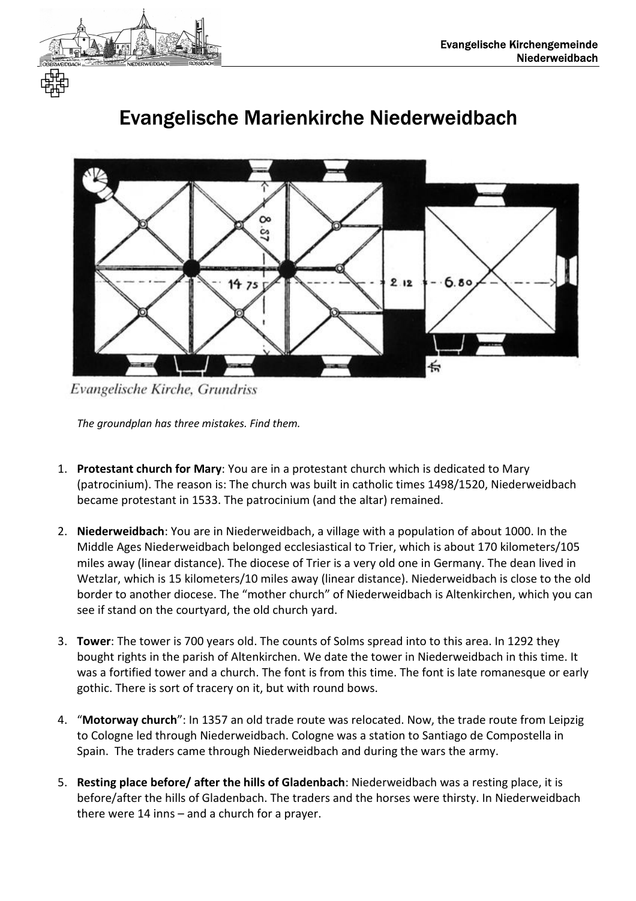



## Evangelische Marienkirche Niederweidbach

Evangelische Kirche, Grundriss

*The groundplan has three mistakes. Find them.* 

- 1. **Protestant church for Mary**: You are in a protestant church which is dedicated to Mary (patrocinium). The reason is: The church was built in catholic times 1498/1520, Niederweidbach became protestant in 1533. The patrocinium (and the altar) remained.
- 2. **Niederweidbach**: You are in Niederweidbach, a village with a population of about 1000. In the Middle Ages Niederweidbach belonged ecclesiastical to Trier, which is about 170 kilometers/105 miles away (linear distance). The diocese of Trier is a very old one in Germany. The dean lived in Wetzlar, which is 15 kilometers/10 miles away (linear distance). Niederweidbach is close to the old border to another diocese. The "mother church" of Niederweidbach is Altenkirchen, which you can see if stand on the courtyard, the old church yard.
- 3. **Tower**: The tower is 700 years old. The counts of Solms spread into to this area. In 1292 they bought rights in the parish of Altenkirchen. We date the tower in Niederweidbach in this time. It was a fortified tower and a church. The font is from this time. The font is late romanesque or early gothic. There is sort of tracery on it, but with round bows.
- 4. "**Motorway church**": In 1357 an old trade route was relocated. Now, the trade route from Leipzig to Cologne led through Niederweidbach. Cologne was a station to Santiago de Compostella in Spain. The traders came through Niederweidbach and during the wars the army.
- 5. **Resting place before/ after the hills of Gladenbach**: Niederweidbach was a resting place, it is before/after the hills of Gladenbach. The traders and the horses were thirsty. In Niederweidbach there were 14 inns – and a church for a prayer.